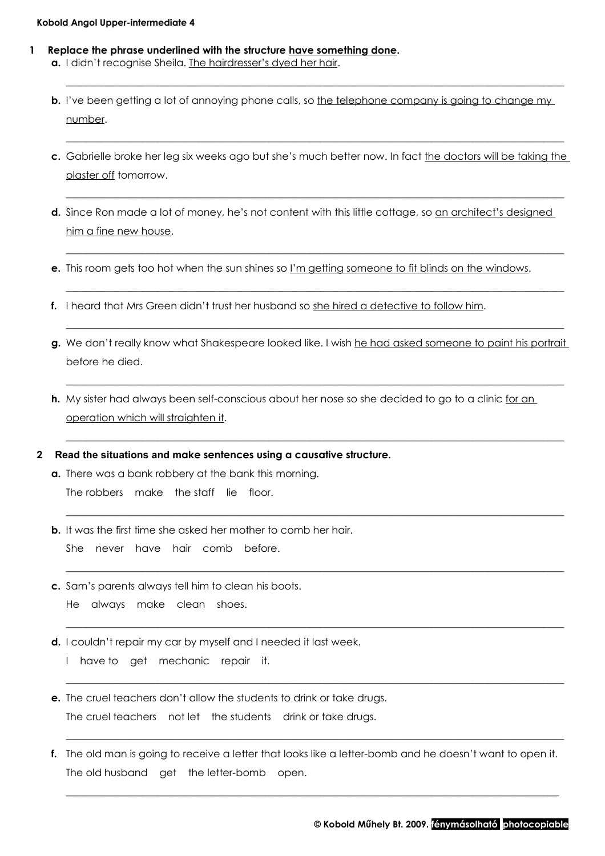## **Kobold Angol Upper-intermediate 4**

- **1 Replace the phrase underlined with the structure have something done. a.** I didn't recognise Sheila. The hairdresser's dyed her hair.
	- **b.** I've been getting a lot of annoying phone calls, so the telephone company is going to change my number.

\_\_\_\_\_\_\_\_\_\_\_\_\_\_\_\_\_\_\_\_\_\_\_\_\_\_\_\_\_\_\_\_\_\_\_\_\_\_\_\_\_\_\_\_\_\_\_\_\_\_\_\_\_\_\_\_\_\_\_\_\_\_\_\_\_\_\_\_\_\_\_\_\_\_\_\_\_\_\_\_\_\_\_\_\_\_\_\_\_\_\_\_\_\_\_\_\_\_

**c.** Gabrielle broke her leg six weeks ago but she's much better now. In fact the doctors will be taking the plaster off tomorrow.

\_\_\_\_\_\_\_\_\_\_\_\_\_\_\_\_\_\_\_\_\_\_\_\_\_\_\_\_\_\_\_\_\_\_\_\_\_\_\_\_\_\_\_\_\_\_\_\_\_\_\_\_\_\_\_\_\_\_\_\_\_\_\_\_\_\_\_\_\_\_\_\_\_\_\_\_\_\_\_\_\_\_\_\_\_\_\_\_\_\_\_\_\_\_\_\_\_\_

\_\_\_\_\_\_\_\_\_\_\_\_\_\_\_\_\_\_\_\_\_\_\_\_\_\_\_\_\_\_\_\_\_\_\_\_\_\_\_\_\_\_\_\_\_\_\_\_\_\_\_\_\_\_\_\_\_\_\_\_\_\_\_\_\_\_\_\_\_\_\_\_\_\_\_\_\_\_\_\_\_\_\_\_\_\_\_\_\_\_\_\_\_\_\_\_\_\_

\_\_\_\_\_\_\_\_\_\_\_\_\_\_\_\_\_\_\_\_\_\_\_\_\_\_\_\_\_\_\_\_\_\_\_\_\_\_\_\_\_\_\_\_\_\_\_\_\_\_\_\_\_\_\_\_\_\_\_\_\_\_\_\_\_\_\_\_\_\_\_\_\_\_\_\_\_\_\_\_\_\_\_\_\_\_\_\_\_\_\_\_\_\_\_\_\_\_

\_\_\_\_\_\_\_\_\_\_\_\_\_\_\_\_\_\_\_\_\_\_\_\_\_\_\_\_\_\_\_\_\_\_\_\_\_\_\_\_\_\_\_\_\_\_\_\_\_\_\_\_\_\_\_\_\_\_\_\_\_\_\_\_\_\_\_\_\_\_\_\_\_\_\_\_\_\_\_\_\_\_\_\_\_\_\_\_\_\_\_\_\_\_\_\_\_\_

\_\_\_\_\_\_\_\_\_\_\_\_\_\_\_\_\_\_\_\_\_\_\_\_\_\_\_\_\_\_\_\_\_\_\_\_\_\_\_\_\_\_\_\_\_\_\_\_\_\_\_\_\_\_\_\_\_\_\_\_\_\_\_\_\_\_\_\_\_\_\_\_\_\_\_\_\_\_\_\_\_\_\_\_\_\_\_\_\_\_\_\_\_\_\_\_\_\_

- d. Since Ron made a lot of money, he's not content with this little cottage, so an architect's designed him a fine new house.
- **e.** This room gets too hot when the sun shines so I'm getting someone to fit blinds on the windows.
- **f.** I heard that Mrs Green didn't trust her husband so she hired a detective to follow him.
- **g.** We don't really know what Shakespeare looked like. I wish he had asked someone to paint his portrait before he died.

\_\_\_\_\_\_\_\_\_\_\_\_\_\_\_\_\_\_\_\_\_\_\_\_\_\_\_\_\_\_\_\_\_\_\_\_\_\_\_\_\_\_\_\_\_\_\_\_\_\_\_\_\_\_\_\_\_\_\_\_\_\_\_\_\_\_\_\_\_\_\_\_\_\_\_\_\_\_\_\_\_\_\_\_\_\_\_\_\_\_\_\_\_\_\_\_\_\_

\_\_\_\_\_\_\_\_\_\_\_\_\_\_\_\_\_\_\_\_\_\_\_\_\_\_\_\_\_\_\_\_\_\_\_\_\_\_\_\_\_\_\_\_\_\_\_\_\_\_\_\_\_\_\_\_\_\_\_\_\_\_\_\_\_\_\_\_\_\_\_\_\_\_\_\_\_\_\_\_\_\_\_\_\_\_\_\_\_\_\_\_\_\_\_\_\_\_

\_\_\_\_\_\_\_\_\_\_\_\_\_\_\_\_\_\_\_\_\_\_\_\_\_\_\_\_\_\_\_\_\_\_\_\_\_\_\_\_\_\_\_\_\_\_\_\_\_\_\_\_\_\_\_\_\_\_\_\_\_\_\_\_\_\_\_\_\_\_\_\_\_\_\_\_\_\_\_\_\_\_\_\_\_\_\_\_\_\_\_\_\_\_\_\_\_\_

\_\_\_\_\_\_\_\_\_\_\_\_\_\_\_\_\_\_\_\_\_\_\_\_\_\_\_\_\_\_\_\_\_\_\_\_\_\_\_\_\_\_\_\_\_\_\_\_\_\_\_\_\_\_\_\_\_\_\_\_\_\_\_\_\_\_\_\_\_\_\_\_\_\_\_\_\_\_\_\_\_\_\_\_\_\_\_\_\_\_\_\_\_\_\_\_\_\_

\_\_\_\_\_\_\_\_\_\_\_\_\_\_\_\_\_\_\_\_\_\_\_\_\_\_\_\_\_\_\_\_\_\_\_\_\_\_\_\_\_\_\_\_\_\_\_\_\_\_\_\_\_\_\_\_\_\_\_\_\_\_\_\_\_\_\_\_\_\_\_\_\_\_\_\_\_\_\_\_\_\_\_\_\_\_\_\_\_\_\_\_\_\_\_\_\_\_

\_\_\_\_\_\_\_\_\_\_\_\_\_\_\_\_\_\_\_\_\_\_\_\_\_\_\_\_\_\_\_\_\_\_\_\_\_\_\_\_\_\_\_\_\_\_\_\_\_\_\_\_\_\_\_\_\_\_\_\_\_\_\_\_\_\_\_\_\_\_\_\_\_\_\_\_\_\_\_\_\_\_\_\_\_\_\_\_\_\_\_\_\_\_\_\_\_\_

\_\_\_\_\_\_\_\_\_\_\_\_\_\_\_\_\_\_\_\_\_\_\_\_\_\_\_\_\_\_\_\_\_\_\_\_\_\_\_\_\_\_\_\_\_\_\_\_\_\_\_\_\_\_\_\_\_\_\_\_\_\_\_\_\_\_\_\_\_\_\_\_\_\_\_\_\_\_\_\_\_\_\_\_\_\_\_\_\_\_\_\_\_\_\_\_\_\_

- **h.** My sister had always been self-conscious about her nose so she decided to go to a clinic for an operation which will straighten it.
- **2 Read the situations and make sentences using a causative structure.**
	- **a.** There was a bank robbery at the bank this morning. The robbers  $\vert$  make  $\vert$  the staff  $\vert$  lie  $\vert$  floor.
	- **b.** It was the first time she asked her mother to comb her hair. She | never | have | hair | comb | before.
	- **c.** Sam's parents always tell him to clean his boots. He  $\vert$  always  $\vert$  make  $\vert$  clean  $\vert$  shoes.
	- **d.** I couldn't repair my car by myself and I needed it last week.  $|1|$  have to  $|$  get  $|$  mechanic  $|$  repair  $|$  it.
	- **e.** The cruel teachers don't allow the students to drink or take drugs. The cruel teachers  $\vert$  not let  $\vert$  the students  $\vert$  drink or take drugs.
	- **f.** The old man is going to receive a letter that looks like a letter-bomb and he doesn't want to open it. The old husband  $\vert$  get  $\vert$  the letter-bomb  $\vert$  open.

\_\_\_\_\_\_\_\_\_\_\_\_\_\_\_\_\_\_\_\_\_\_\_\_\_\_\_\_\_\_\_\_\_\_\_\_\_\_\_\_\_\_\_\_\_\_\_\_\_\_\_\_\_\_\_\_\_\_\_\_\_\_\_\_\_\_\_\_\_\_\_\_\_\_\_\_\_\_\_\_\_\_\_\_\_\_\_\_\_\_\_\_\_\_\_\_\_